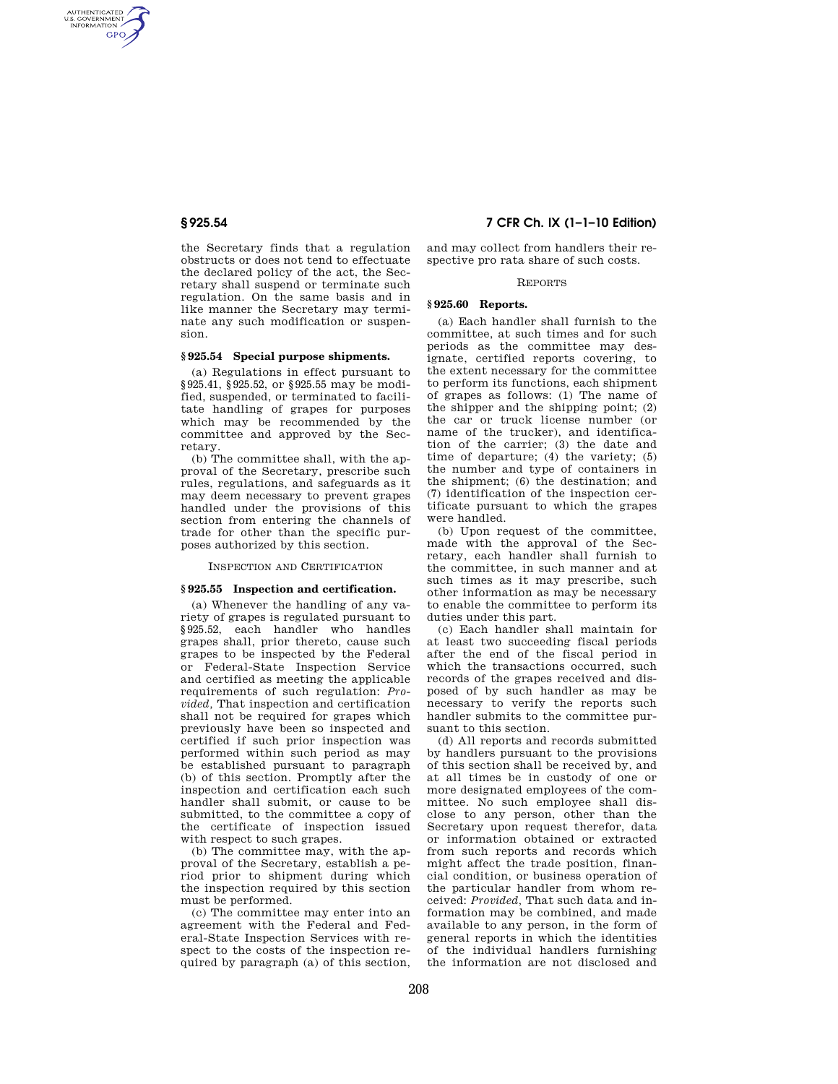AUTHENTICATED<br>U.S. GOVERNMENT<br>INFORMATION **GPO** 

> the Secretary finds that a regulation obstructs or does not tend to effectuate the declared policy of the act, the Secretary shall suspend or terminate such regulation. On the same basis and in like manner the Secretary may terminate any such modification or suspension.

#### **§ 925.54 Special purpose shipments.**

(a) Regulations in effect pursuant to §925.41, §925.52, or §925.55 may be modified, suspended, or terminated to facilitate handling of grapes for purposes which may be recommended by the committee and approved by the Secretary.

(b) The committee shall, with the approval of the Secretary, prescribe such rules, regulations, and safeguards as it may deem necessary to prevent grapes handled under the provisions of this section from entering the channels of trade for other than the specific purposes authorized by this section.

INSPECTION AND CERTIFICATION

### **§ 925.55 Inspection and certification.**

(a) Whenever the handling of any variety of grapes is regulated pursuant to §925.52, each handler who handles grapes shall, prior thereto, cause such grapes to be inspected by the Federal or Federal-State Inspection Service and certified as meeting the applicable requirements of such regulation: *Provided,* That inspection and certification shall not be required for grapes which previously have been so inspected and certified if such prior inspection was performed within such period as may be established pursuant to paragraph (b) of this section. Promptly after the inspection and certification each such handler shall submit, or cause to be submitted, to the committee a copy of the certificate of inspection issued with respect to such grapes.

(b) The committee may, with the approval of the Secretary, establish a period prior to shipment during which the inspection required by this section must be performed.

(c) The committee may enter into an agreement with the Federal and Federal-State Inspection Services with respect to the costs of the inspection required by paragraph (a) of this section,

**§ 925.54 7 CFR Ch. IX (1–1–10 Edition)** 

and may collect from handlers their respective pro rata share of such costs.

#### REPORTS

#### **§ 925.60 Reports.**

(a) Each handler shall furnish to the committee, at such times and for such periods as the committee may designate, certified reports covering, to the extent necessary for the committee to perform its functions, each shipment of grapes as follows: (1) The name of the shipper and the shipping point; (2) the car or truck license number (or name of the trucker), and identification of the carrier; (3) the date and time of departure; (4) the variety; (5) the number and type of containers in the shipment; (6) the destination; and (7) identification of the inspection certificate pursuant to which the grapes were handled.

(b) Upon request of the committee, made with the approval of the Secretary, each handler shall furnish to the committee, in such manner and at such times as it may prescribe, such other information as may be necessary to enable the committee to perform its duties under this part.

(c) Each handler shall maintain for at least two succeeding fiscal periods after the end of the fiscal period in which the transactions occurred, such records of the grapes received and disposed of by such handler as may be necessary to verify the reports such handler submits to the committee pursuant to this section.

(d) All reports and records submitted by handlers pursuant to the provisions of this section shall be received by, and at all times be in custody of one or more designated employees of the committee. No such employee shall disclose to any person, other than the Secretary upon request therefor, data or information obtained or extracted from such reports and records which might affect the trade position, financial condition, or business operation of the particular handler from whom received: *Provided,* That such data and information may be combined, and made available to any person, in the form of general reports in which the identities of the individual handlers furnishing the information are not disclosed and